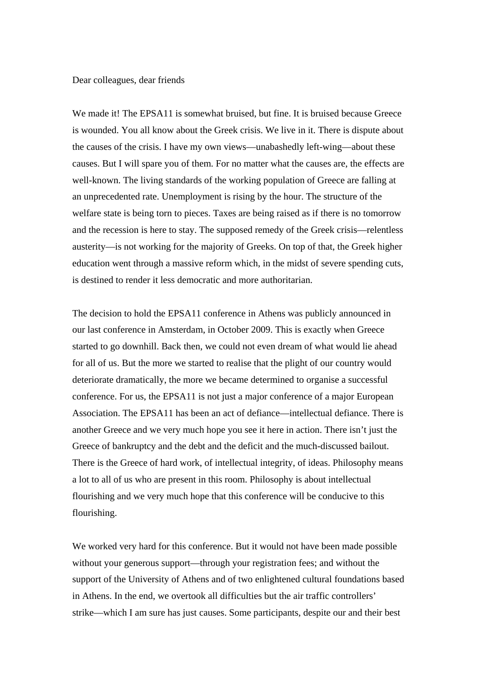Dear colleagues, dear friends

We made it! The EPSA11 is somewhat bruised, but fine. It is bruised because Greece is wounded. You all know about the Greek crisis. We live in it. There is dispute about the causes of the crisis. I have my own views—unabashedly left-wing—about these causes. But I will spare you of them. For no matter what the causes are, the effects are well-known. The living standards of the working population of Greece are falling at an unprecedented rate. Unemployment is rising by the hour. The structure of the welfare state is being torn to pieces. Taxes are being raised as if there is no tomorrow and the recession is here to stay. The supposed remedy of the Greek crisis—relentless austerity—is not working for the majority of Greeks. On top of that, the Greek higher education went through a massive reform which, in the midst of severe spending cuts, is destined to render it less democratic and more authoritarian.

The decision to hold the EPSA11 conference in Athens was publicly announced in our last conference in Amsterdam, in October 2009. This is exactly when Greece started to go downhill. Back then, we could not even dream of what would lie ahead for all of us. But the more we started to realise that the plight of our country would deteriorate dramatically, the more we became determined to organise a successful conference. For us, the EPSA11 is not just a major conference of a major European Association. The EPSA11 has been an act of defiance—intellectual defiance. There is another Greece and we very much hope you see it here in action. There isn't just the Greece of bankruptcy and the debt and the deficit and the much-discussed bailout. There is the Greece of hard work, of intellectual integrity, of ideas. Philosophy means a lot to all of us who are present in this room. Philosophy is about intellectual flourishing and we very much hope that this conference will be conducive to this flourishing.

We worked very hard for this conference. But it would not have been made possible without your generous support—through your registration fees; and without the support of the University of Athens and of two enlightened cultural foundations based in Athens. In the end, we overtook all difficulties but the air traffic controllers' strike—which I am sure has just causes. Some participants, despite our and their best